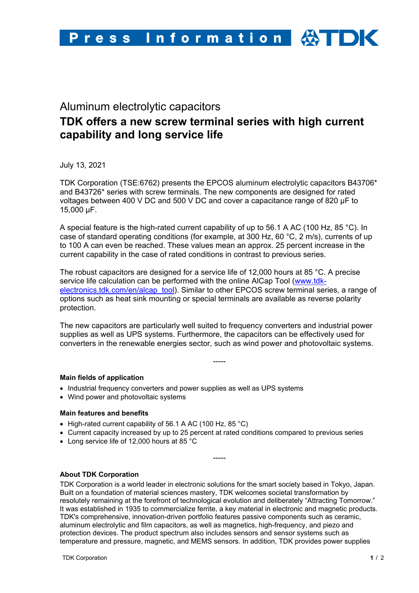## Aluminum electrolytic capacitors

# **TDK offers a new screw terminal series with high current capability and long service life**

July 13, 2021

TDK Corporation (TSE:6762) presents the EPCOS aluminum electrolytic capacitors B43706\* and B43726\* series with screw terminals. The new components are designed for rated voltages between 400 V DC and 500 V DC and cover a capacitance range of 820 µF to 15,000 µF.

A special feature is the high-rated current capability of up to 56.1 A AC (100 Hz, 85 °C). In case of standard operating conditions (for example, at 300 Hz, 60 °C, 2 m/s), currents of up to 100 A can even be reached. These values mean an approx. 25 percent increase in the current capability in the case of rated conditions in contrast to previous series.

The robust capacitors are designed for a service life of 12,000 hours at 85 °C. A precise service life calculation can be performed with the online AlCap Tool (www.tdkelectronics.tdk.com/en/alcap\_tool). Similar to other EPCOS screw terminal series, a range of options such as heat sink mounting or special terminals are available as reverse polarity protection.

The new capacitors are particularly well suited to frequency converters and industrial power supplies as well as UPS systems. Furthermore, the capacitors can be effectively used for converters in the renewable energies sector, such as wind power and photovoltaic systems.

-----

#### **Main fields of application**

- Industrial frequency converters and power supplies as well as UPS systems
- Wind power and photovoltaic systems

#### **Main features and benefits**

- High-rated current capability of 56.1 A AC (100 Hz, 85 °C)
- Current capacity increased by up to 25 percent at rated conditions compared to previous series
- Long service life of 12,000 hours at 85 °C

### **About TDK Corporation**

TDK Corporation is a world leader in electronic solutions for the smart society based in Tokyo, Japan. Built on a foundation of material sciences mastery, TDK welcomes societal transformation by resolutely remaining at the forefront of technological evolution and deliberately "Attracting Tomorrow." It was established in 1935 to commercialize ferrite, a key material in electronic and magnetic products. TDK's comprehensive, innovation-driven portfolio features passive components such as ceramic, aluminum electrolytic and film capacitors, as well as magnetics, high-frequency, and piezo and protection devices. The product spectrum also includes sensors and sensor systems such as temperature and pressure, magnetic, and MEMS sensors. In addition, TDK provides power supplies

-----